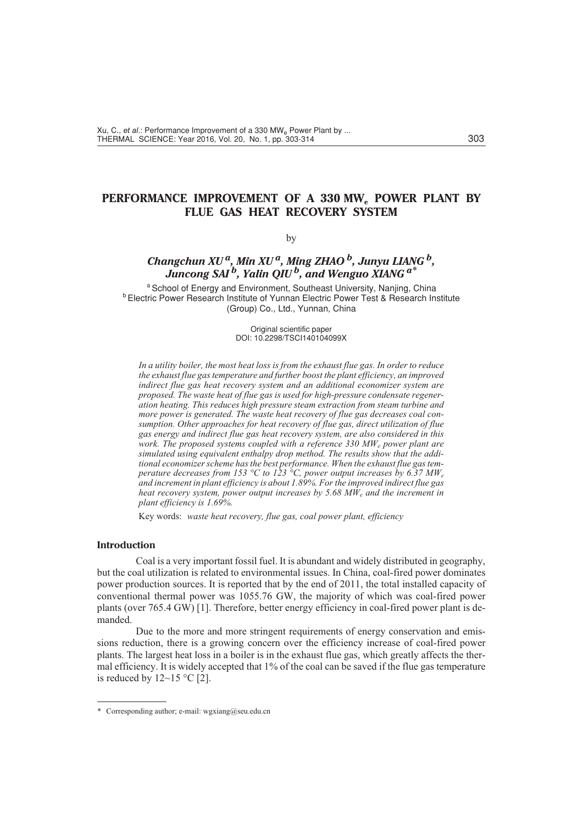# PERFORMANCE IMPROVEMENT OF A 330 MW<sub>a</sub> POWER PLANT BY **FLUE GAS HEAT RECOVERY SYSTEM**

# by

# *Changchun XU a, Min XU a, Ming ZHAO b, Junyu LIANG b, Juncong SAI b, Yalin QIU b, and Wenguo XIANG a\**

<sup>a</sup> School of Energy and Environment, Southeast University, Nanjing, China **b Electric Power Research Institute of Yunnan Electric Power Test & Research Institute** (Group) Co., Ltd., Yunnan, China

> Original scientific paper DOI: 10.2298/TSCI140104099X

*In a utility boiler, the most heat loss is from the exhaust flue gas. In order to reduce the exhaust flue gas temperature and further boost the plant efficiency, an improved indirect flue gas heat recovery system and an additional economizer system are proposed. The waste heat of flue gas is used for high-pressure condensate regeneration heating. This reduces high pressure steam extraction from steam turbine and more power is generated. The waste heat recovery of flue gas decreases coal consumption. Other approaches for heat recovery of flue gas, direct utilization of flue gas energy and indirect flue gas heat recovery system, are also considered in this work. The proposed systems coupled with a reference 330 MWe power plant are simulated using equivalent enthalpy drop method. The results show that the additional economizer scheme has the best performance. When the exhaust flue gas temperature decreases from 153 °C to 123 °C, power output increases by 6.37 MWe and increment in plant efficiency is about 1.89%. For the improved indirect flue gas heat recovery system, power output increases by 5.68 MWe and the increment in plant efficiency is 1.69%.*

Key words: *waste heat recovery, flue gas, coal power plant, efficiency*

## **Introduction**

Coal is a very important fossil fuel. It is abundant and widely distributed in geography, but the coal utilization is related to environmental issues. In China, coal-fired power dominates power production sources. It is reported that by the end of 2011, the total installed capacity of conventional thermal power was 1055.76 GW, the majority of which was coal-fired power plants (over 765.4 GW) [1]. Therefore, better energy efficiency in coal-fired power plant is demanded.

Due to the more and more stringent requirements of energy conservation and emissions reduction, there is a growing concern over the efficiency increase of coal-fired power plants. The largest heat loss in a boiler is in the exhaust flue gas, which greatly affects the thermal efficiency. It is widely accepted that 1% of the coal can be saved if the flue gas temperature is reduced by  $12 \sim 15$  °C [2].

<sup>\*</sup> Corresponding author; e-mail: wgxiang@seu.edu.cn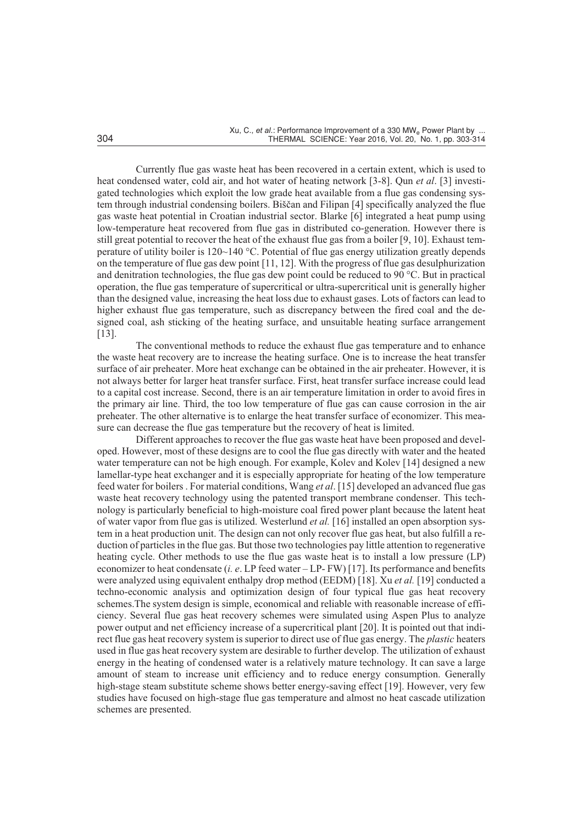Currently flue gas waste heat has been recovered in a certain extent, which is used to heat condensed water, cold air, and hot water of heating network [3-8]. Qun *et al*. [3] investigated technologies which exploit the low grade heat available from a flue gas condensing system through industrial condensing boilers. Biščan and Filipan [4] specifically analyzed the flue gas waste heat potential in Croatian industrial sector. Blarke [6] integrated a heat pump using low-temperature heat recovered from flue gas in distributed co-generation. However there is still great potential to recover the heat of the exhaust flue gas from a boiler [9, 10]. Exhaust temperature of utility boiler is 120~140 °C. Potential of flue gas energy utilization greatly depends on the temperature of flue gas dew point [11, 12]. With the progress of flue gas desulphurization and denitration technologies, the flue gas dew point could be reduced to 90 °C. But in practical operation, the flue gas temperature of supercritical or ultra-supercritical unit is generally higher than the designed value, increasing the heat loss due to exhaust gases. Lots of factors can lead to higher exhaust flue gas temperature, such as discrepancy between the fired coal and the designed coal, ash sticking of the heating surface, and unsuitable heating surface arrangement [13].

The conventional methods to reduce the exhaust flue gas temperature and to enhance the waste heat recovery are to increase the heating surface. One is to increase the heat transfer surface of air preheater. More heat exchange can be obtained in the air preheater. However, it is not always better for larger heat transfer surface. First, heat transfer surface increase could lead to a capital cost increase. Second, there is an air temperature limitation in order to avoid fires in the primary air line. Third, the too low temperature of flue gas can cause corrosion in the air preheater. The other alternative is to enlarge the heat transfer surface of economizer. This measure can decrease the flue gas temperature but the recovery of heat is limited.

Different approaches to recover the flue gas waste heat have been proposed and developed. However, most of these designs are to cool the flue gas directly with water and the heated water temperature can not be high enough. For example, Kolev and Kolev [14] designed a new lamellar-type heat exchanger and it is especially appropriate for heating of the low temperature feed water for boilers . For material conditions, Wang *et al*. [15] developed an advanced flue gas waste heat recovery technology using the patented transport membrane condenser. This technology is particularly beneficial to high-moisture coal fired power plant because the latent heat of water vapor from flue gas is utilized. Westerlund *et al.* [16] installed an open absorption system in a heat production unit. The design can not only recover flue gas heat, but also fulfill a reduction of particles in the flue gas. But those two technologies pay little attention to regenerative heating cycle. Other methods to use the flue gas waste heat is to install a low pressure (LP) economizer to heat condensate (*i. e*. LP feed water – LP- FW) [17]. Its performance and benefits were analyzed using equivalent enthalpy drop method (EEDM) [18]. Xu *et al.* [19] conducted a techno-economic analysis and optimization design of four typical flue gas heat recovery schemes.The system design is simple, economical and reliable with reasonable increase of efficiency. Several flue gas heat recovery schemes were simulated using Aspen Plus to analyze power output and net efficiency increase of a supercritical plant [20]. It is pointed out that indirect flue gas heat recovery system is superior to direct use of flue gas energy. The *plastic* heaters used in flue gas heat recovery system are desirable to further develop. The utilization of exhaust energy in the heating of condensed water is a relatively mature technology. It can save a large amount of steam to increase unit efficiency and to reduce energy consumption. Generally high-stage steam substitute scheme shows better energy-saving effect [19]. However, very few studies have focused on high-stage flue gas temperature and almost no heat cascade utilization schemes are presented.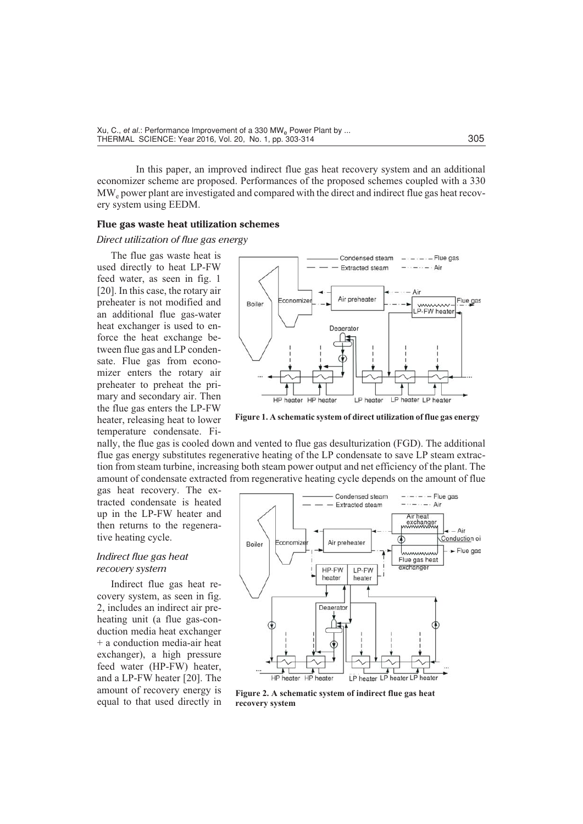In this paper, an improved indirect flue gas heat recovery system and an additional economizer scheme are proposed. Performances of the proposed schemes coupled with a 330 MWe power plant are investigated and compared with the direct and indirect flue gas heat recovery system using EEDM.

#### **Flue gas waste heat utilization schemes**

*Direct utilization of flue gas energy*

The flue gas waste heat is used directly to heat LP-FW feed water, as seen in fig. 1 [20]. In this case, the rotary air preheater is not modified and an additional flue gas-water heat exchanger is used to enforce the heat exchange between flue gas and LP condensate. Flue gas from economizer enters the rotary air preheater to preheat the primary and secondary air. Then the flue gas enters the LP-FW heater, releasing heat to lower temperature condensate. Fi-



**Figure 1. A schematic system of direct utilization of flue gas energy**

nally, the flue gas is cooled down and vented to flue gas desulturization (FGD). The additional flue gas energy substitutes regenerative heating of the LP condensate to save LP steam extraction from steam turbine, increasing both steam power output and net efficiency of the plant. The amount of condensate extracted from regenerative heating cycle depends on the amount of flue

gas heat recovery. The extracted condensate is heated up in the LP-FW heater and then returns to the regenerative heating cycle.

# *Indirect flue gas heat recovery system*

Indirect flue gas heat recovery system, as seen in fig. 2, includes an indirect air preheating unit (a flue gas-conduction media heat exchanger + a conduction media-air heat exchanger), a high pressure feed water (HP-FW) heater, and a LP-FW heater [20]. The amount of recovery energy is equal to that used directly in



**Figure 2. A schematic system of indirect flue gas heat recovery system**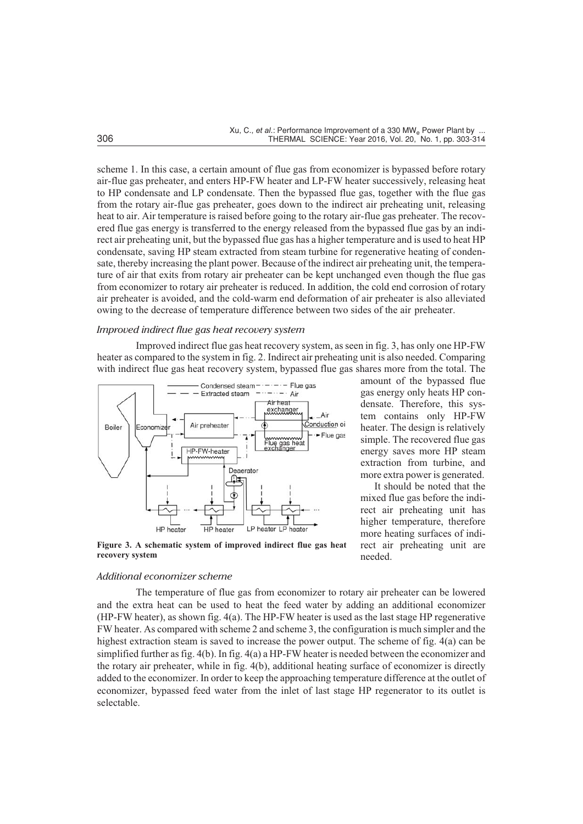scheme 1. In this case, a certain amount of flue gas from economizer is bypassed before rotary air-flue gas preheater, and enters HP-FW heater and LP-FW heater successively, releasing heat to HP condensate and LP condensate. Then the bypassed flue gas, together with the flue gas from the rotary air-flue gas preheater, goes down to the indirect air preheating unit, releasing heat to air. Air temperature is raised before going to the rotary air-flue gas preheater. The recovered flue gas energy is transferred to the energy released from the bypassed flue gas by an indirect air preheating unit, but the bypassed flue gas has a higher temperature and is used to heat HP condensate, saving HP steam extracted from steam turbine for regenerative heating of condensate, thereby increasing the plant power. Because of the indirect air preheating unit, the temperature of air that exits from rotary air preheater can be kept unchanged even though the flue gas from economizer to rotary air preheater is reduced. In addition, the cold end corrosion of rotary air preheater is avoided, and the cold-warm end deformation of air preheater is also alleviated owing to the decrease of temperature difference between two sides of the air preheater.

## *Improved indirect flue gas heat recovery system*

Improved indirect flue gas heat recovery system, as seen in fig. 3, has only one HP-FW heater as compared to the system in fig. 2. Indirect air preheating unit is also needed. Comparing with indirect flue gas heat recovery system, bypassed flue gas shares more from the total. The



amount of the bypassed flue gas energy only heats HP condensate. Therefore, this system contains only HP-FW heater. The design is relatively simple. The recovered flue gas energy saves more HP steam extraction from turbine, and more extra power is generated.

It should be noted that the mixed flue gas before the indirect air preheating unit has higher temperature, therefore more heating surfaces of indirect air preheating unit are needed.

**Figure 3. A schematic system of improved indirect flue gas heat recovery system**

# *Additional economizer scheme*

The temperature of flue gas from economizer to rotary air preheater can be lowered and the extra heat can be used to heat the feed water by adding an additional economizer (HP-FW heater), as shown fig. 4(a). The HP-FW heater is used as the last stage HP regenerative FW heater. As compared with scheme 2 and scheme 3, the configuration is much simpler and the highest extraction steam is saved to increase the power output. The scheme of fig. 4(a) can be simplified further as fig. 4(b). In fig. 4(a) a HP-FW heater is needed between the economizer and the rotary air preheater, while in fig. 4(b), additional heating surface of economizer is directly added to the economizer. In order to keep the approaching temperature difference at the outlet of economizer, bypassed feed water from the inlet of last stage HP regenerator to its outlet is selectable.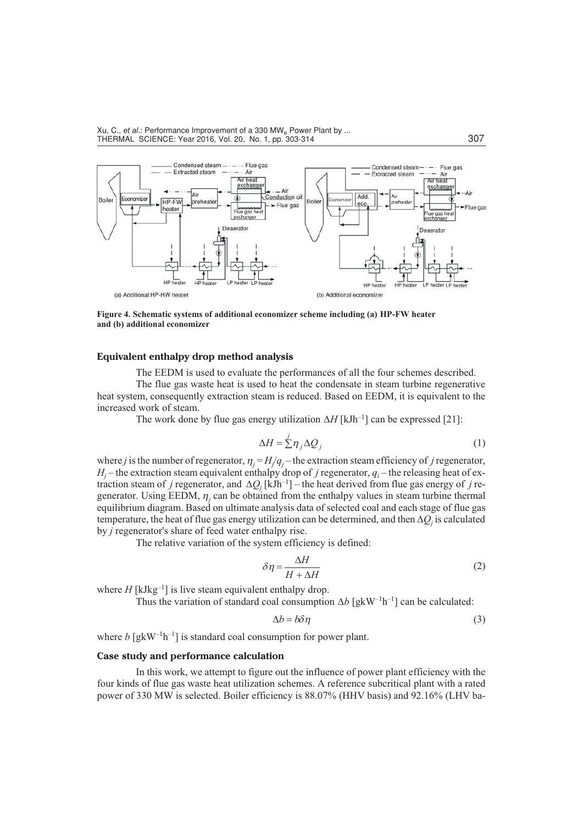

**Figure 4. Schematic systems of additional economizer scheme including (a) HP-FW heater and (b) additional economizer**

## **Equivalent enthalpy drop method analysis**

The EEDM is used to evaluate the performances of all the four schemes described.

The flue gas waste heat is used to heat the condensate in steam turbine regenerative heat system, consequently extraction steam is reduced. Based on EEDM, it is equivalent to the increased work of steam.

The work done by flue gas energy utilization  $\Delta H$  [kJh<sup>-1</sup>] can be expressed [21]:

$$
\Delta H = \frac{j}{2} \eta_j \Delta Q_j \tag{1}
$$

where *j* is the number of regenerator,  $\eta_j = H_j/q_j$  – the extraction steam efficiency of *j* regenerator,  $H_i$  – the extraction steam equivalent enthalpy drop of *j* regenerator,  $q_i$  – the releasing heat of extraction steam of *j* regenerator, and  $\Delta Q_j$  [kJh<sup>-1</sup>] – the heat derived from flue gas energy of *j* regenerator. Using EEDM,  $\eta_i$  can be obtained from the enthalpy values in steam turbine thermal equilibrium diagram. Based on ultimate analysis data of selected coal and each stage of flue gas temperature, the heat of flue gas energy utilization can be determined, and then  $\Delta O_i$  is calculated by *j* regenerator's share of feed water enthalpy rise.

The relative variation of the system efficiency is defined:

$$
\delta \eta = \frac{\Delta H}{H + \Delta H} \tag{2}
$$

where  $H$  [kJkg<sup>-1</sup>] is live steam equivalent enthalpy drop.

Thus the variation of standard coal consumption  $\Delta b$  [gkW<sup>-1</sup>h<sup>-1</sup>] can be calculated:

$$
\Delta b = b \delta \eta \tag{3}
$$

where  $b \left[ g k W^{-1} h^{-1} \right]$  is standard coal consumption for power plant.

# **Case study and performance calculation**

In this work, we attempt to figure out the influence of power plant efficiency with the four kinds of flue gas waste heat utilization schemes. A reference subcritical plant with a rated power of 330 MW is selected. Boiler efficiency is 88.07% (HHV basis) and 92.16% (LHV ba-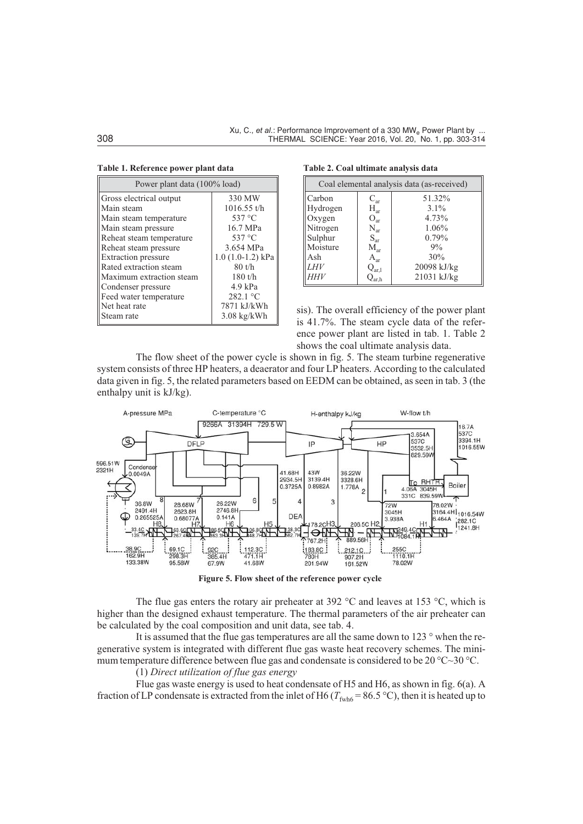|  |  | Table 1. Reference power plant data |  |  |  |
|--|--|-------------------------------------|--|--|--|
|--|--|-------------------------------------|--|--|--|

| Power plant data (100% load) |                       |  |  |  |
|------------------------------|-----------------------|--|--|--|
| Gross electrical output      | 330 MW                |  |  |  |
| Main steam                   | $1016.55$ t/h         |  |  |  |
| Main steam temperature       | 537 °C                |  |  |  |
| Main steam pressure          | 16.7 MPa              |  |  |  |
| Reheat steam temperature     | 537 °C                |  |  |  |
| Reheat steam pressure        | 3.654 MPa             |  |  |  |
| <b>Extraction</b> pressure   | $1.0(1.0-1.2)$ kPa    |  |  |  |
| Rated extraction steam       | $80$ t/h              |  |  |  |
| Maximum extraction steam     | 180 t/h               |  |  |  |
| Condenser pressure           | $4.9$ kPa             |  |  |  |
| Feed water temperature       | 282.1 °C              |  |  |  |
| Net heat rate                | 7871 kJ/kWh           |  |  |  |
| Steam rate                   | $3.08 \text{ kg/kWh}$ |  |  |  |

**Table 2. Coal ultimate analysis data**

| Coal elemental analysis data (as-received) |                             |             |  |  |
|--------------------------------------------|-----------------------------|-------------|--|--|
| Carbon                                     | $C_{\rm ar}$                | 51.32%      |  |  |
| Hydrogen                                   | $H_{ar}$                    | $3.1\%$     |  |  |
| Oxygen                                     | $O_{ar}$                    | 4.73%       |  |  |
| Nitrogen                                   | $N_{ar}$                    | 1.06%       |  |  |
| Sulphur                                    | $S_{\rm ar}$                | 0.79%       |  |  |
| Moisture                                   | $M_{ar}$                    | 9%          |  |  |
| Ash                                        | $A_{ar}$                    | 30%         |  |  |
| <b>LHV</b>                                 | $Q_{ar,1}$                  | 20098 kJ/kg |  |  |
| <i>HHV</i>                                 | $\mathcal{Q}_{\text{ar},h}$ | 21031 kJ/kg |  |  |

sis). The overall efficiency of the power plant is 41.7%. The steam cycle data of the reference power plant are listed in tab. 1. Table 2 shows the coal ultimate analysis data.

The flow sheet of the power cycle is shown in fig. 5. The steam turbine regenerative system consists of three HP heaters, a deaerator and four LP heaters. According to the calculated data given in fig. 5, the related parameters based on EEDM can be obtained, as seen in tab. 3 (the enthalpy unit is kJ/kg).



**Figure 5. Flow sheet of the reference power cycle**

The flue gas enters the rotary air preheater at 392  $\degree$ C and leaves at 153  $\degree$ C, which is higher than the designed exhaust temperature. The thermal parameters of the air preheater can be calculated by the coal composition and unit data, see tab. 4.

It is assumed that the flue gas temperatures are all the same down to 123 ° when the regenerative system is integrated with different flue gas waste heat recovery schemes. The minimum temperature difference between flue gas and condensate is considered to be 20 °C~30 °C.

(1) *Direct utilization of flue gas energy*

Flue gas waste energy is used to heat condensate of H5 and H6, as shown in fig. 6(a). A fraction of LP condensate is extracted from the inlet of H6 ( $T_{fwh6} = 86.5$  °C), then it is heated up to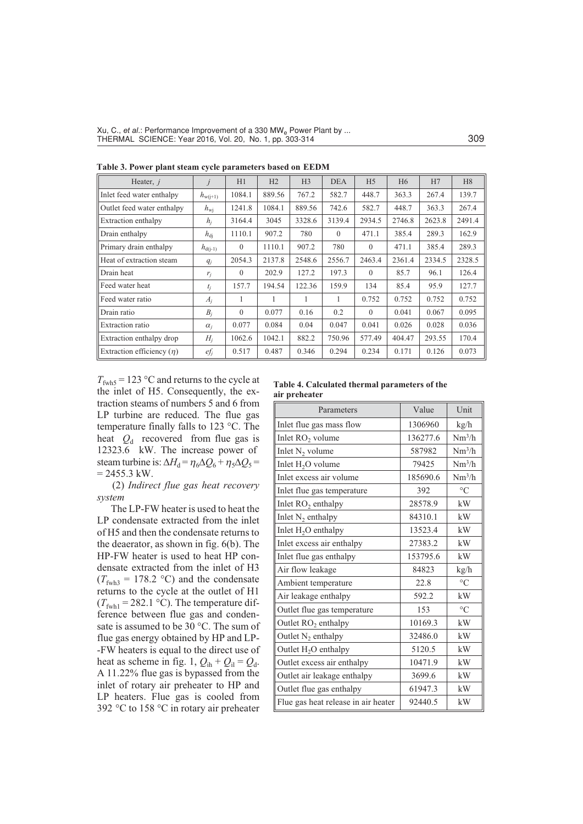| Heater, $j$                    |              | H1       | H2     | H <sub>3</sub> | <b>DEA</b> | H <sub>5</sub> | H <sub>6</sub> | H7     | H <sub>8</sub> |
|--------------------------------|--------------|----------|--------|----------------|------------|----------------|----------------|--------|----------------|
| Inlet feed water enthalpy      | $h_{w(j+1)}$ | 1084.1   | 889.56 | 767.2          | 582.7      | 448.7          | 363.3          | 267.4  | 139.7          |
| Outlet feed water enthalpy     | $h_{\rm wi}$ | 1241.8   | 1084.1 | 889.56         | 742.6      | 582.7          | 448.7          | 363.3  | 267.4          |
| Extraction enthalpy            | $h_i$        | 3164.4   | 3045   | 3328.6         | 3139.4     | 2934.5         | 2746.8         | 2623.8 | 2491.4         |
| Drain enthalpy                 | $h_{\rm di}$ | 1110.1   | 907.2  | 780            | $\Omega$   | 471.1          | 385.4          | 289.3  | 162.9          |
| Primary drain enthalpy         | $h_{d(i-1)}$ | $\Omega$ | 1110.1 | 907.2          | 780        | $\theta$       | 471.1          | 385.4  | 289.3          |
| Heat of extraction steam       | $q_i$        | 2054.3   | 2137.8 | 2548.6         | 2556.7     | 2463.4         | 2361.4         | 2334.5 | 2328.5         |
| Drain heat                     | $r_i$        | $\theta$ | 202.9  | 127.2          | 197.3      | $\theta$       | 85.7           | 96.1   | 126.4          |
| Feed water heat                | $t_i$        | 157.7    | 194.54 | 122.36         | 159.9      | 134            | 85.4           | 95.9   | 127.7          |
| Feed water ratio               | $A_i$        | 1        | 1      | 1              | 1          | 0.752          | 0.752          | 0.752  | 0.752          |
| Drain ratio                    | $B_i$        | $\theta$ | 0.077  | 0.16           | 0.2        | $\theta$       | 0.041          | 0.067  | 0.095          |
| <b>Extraction</b> ratio        | $\alpha_i$   | 0.077    | 0.084  | 0.04           | 0.047      | 0.041          | 0.026          | 0.028  | 0.036          |
| Extraction enthalpy drop       | $H_i$        | 1062.6   | 1042.1 | 882.2          | 750.96     | 577.49         | 404.47         | 293.55 | 170.4          |
| Extraction efficiency $(\eta)$ | $e f_j$      | 0.517    | 0.487  | 0.346          | 0.294      | 0.234          | 0.171          | 0.126  | 0.073          |

**Table 3. Power plant steam cycle parameters based on EEDM**

 $T_{\text{fwh5}}$  = 123 °C and returns to the cycle at the inlet of H5. Consequently, the extraction steams of numbers 5 and 6 from LP turbine are reduced. The flue gas temperature finally falls to 123 °C. The heat  $Q_d$  recovered from flue gas is 12323.6 kW. The increase power of steam turbine is:  $\Delta H_d = \eta_6 \Delta Q_6 + \eta_5 \Delta Q_5 =$  $= 2455.3$  kW.

(2) *Indirect flue gas heat recovery system*

The LP-FW heater is used to heat the LP condensate extracted from the inlet of H5 and then the condensate returns to the deaerator, as shown in fig. 6(b). The HP-FW heater is used to heat HP condensate extracted from the inlet of H3  $(T_{\text{fwh3}} = 178.2 \text{ °C})$  and the condensate returns to the cycle at the outlet of H1  $(T_{\text{fwh1}} = 282.1 \text{ °C})$ . The temperature difference between flue gas and condensate is assumed to be 30 °C. The sum of flue gas energy obtained by HP and LP- -FW heaters is equal to the direct use of heat as scheme in fig. 1,  $Q_{ih} + Q_{il} = Q_d$ . A 11.22% flue gas is bypassed from the inlet of rotary air preheater to HP and LP heaters. Flue gas is cooled from 392 °C to 158 °C in rotary air preheater

**Table 4. Calculated thermal parameters of the air preheater**

| Parameters                          | Value    | Unit            |
|-------------------------------------|----------|-----------------|
| Inlet flue gas mass flow            | 1306960  | kg/h            |
| Inlet $RO2$ volume                  | 136277.6 | $Nm^3/h$        |
| Inlet $N_2$ volume                  | 587982   | $Nm^3/h$        |
| Inlet $H_2O$ volume                 | 79425    | $Nm^3/h$        |
| Inlet excess air volume             | 185690.6 | $Nm^3/h$        |
| Inlet flue gas temperature          | 392      | $\circ$ C       |
| Inlet $RO2$ enthalpy                | 28578.9  | kW              |
| Inlet $N_2$ enthalpy                | 84310.1  | kW              |
| Inlet $H_2O$ enthalpy               | 13523.4  | kW              |
| Inlet excess air enthalpy           | 27383.2  | kW              |
| Inlet flue gas enthalpy             | 153795.6 | kW              |
| Air flow leakage                    | 84823    | kg/h            |
| Ambient temperature                 | 22.8     | $\rm ^{\circ}C$ |
| Air leakage enthalpy                | 592.2    | kW              |
| Outlet flue gas temperature         | 153      | $\circ$ C       |
| Outlet $RO2$ enthalpy               | 10169.3  | kW              |
| Outlet $N_2$ enthalpy               | 32486.0  | kW              |
| Outlet $H_2O$ enthalpy              | 5120.5   | kW              |
| Outlet excess air enthalpy          | 10471.9  | kW              |
| Outlet air leakage enthalpy         | 3699.6   | kW              |
| Outlet flue gas enthalpy            | 61947.3  | kW              |
| Flue gas heat release in air heater | 92440.5  | kW              |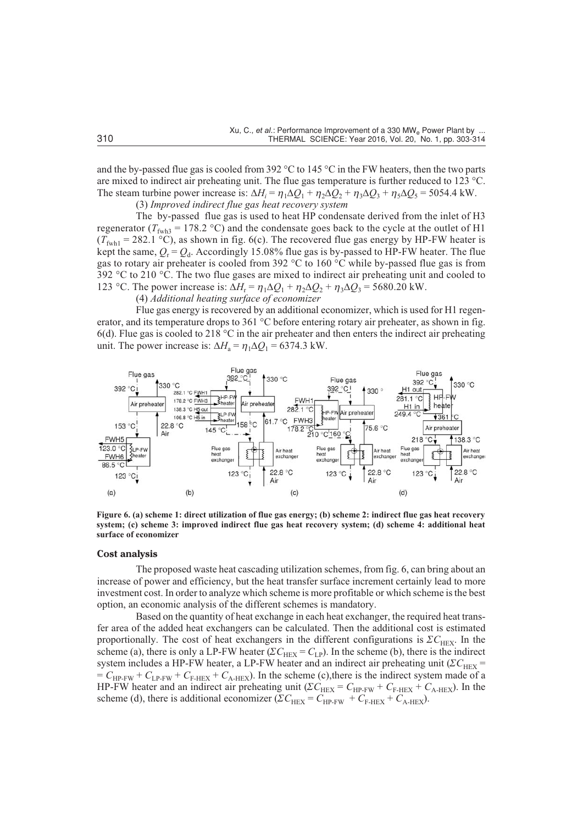and the by-passed flue gas is cooled from 392  $\degree$ C to 145  $\degree$ C in the FW heaters, then the two parts are mixed to indirect air preheating unit. The flue gas temperature is further reduced to 123 °C. The steam turbine power increase is:  $\Delta H_i = \eta_1 \Delta Q_1 + \eta_2 \Delta Q_2 + \eta_3 \Delta Q_3 + \eta_5 \Delta Q_5 = 5054.4$  kW.

(3) *Improved indirect flue gas heat recovery system*

The by-passed flue gas is used to heat HP condensate derived from the inlet of H3 regenerator ( $T_{fwh3}$  = 178.2 °C) and the condensate goes back to the cycle at the outlet of H1  $(T_{\text{fwh1}} = 282.1 \text{ °C})$ , as shown in fig. 6(c). The recovered flue gas energy by HP-FW heater is kept the same,  $Q_r = Q_d$ . Accordingly 15.08% flue gas is by-passed to HP-FW heater. The flue gas to rotary air preheater is cooled from 392 °C to 160 °C while by-passed flue gas is from 392  $^{\circ}$ C to 210  $^{\circ}$ C. The two flue gases are mixed to indirect air preheating unit and cooled to 123 °C. The power increase is:  $\Delta H_r = \eta_1 \Delta Q_1 + \eta_2 \Delta Q_2 + \eta_3 \Delta Q_3 = 5680.20$  kW.

(4) *Additional heating surface of economizer*

Flue gas energy is recovered by an additional economizer, which is used for H1 regenerator, and its temperature drops to 361 °C before entering rotary air preheater, as shown in fig. 6(d). Flue gas is cooled to 218  $^{\circ}$ C in the air preheater and then enters the indirect air preheating unit. The power increase is:  $\Delta H_a = \eta_1 \Delta Q_1 = 6374.3$  kW.



**Figure 6. (a) scheme 1: direct utilization of flue gas energy; (b) scheme 2: indirect flue gas heat recovery system; (c) scheme 3: improved indirect flue gas heat recovery system; (d) scheme 4: additional heat surface of economizer**

## **Cost analysis**

The proposed waste heat cascading utilization schemes, from fig. 6, can bring about an increase of power and efficiency, but the heat transfer surface increment certainly lead to more investment cost. In order to analyze which scheme is more profitable or which scheme is the best option, an economic analysis of the different schemes is mandatory.

Based on the quantity of heat exchange in each heat exchanger, the required heat transfer area of the added heat exchangers can be calculated. Then the additional cost is estimated proportionally. The cost of heat exchangers in the different configurations is  $\mathcal{Z}C_{\text{HEX}}$ . In the scheme (a), there is only a LP-FW heater ( $\Sigma C_{\text{HEX}} = C_{\text{LP}}$ ). In the scheme (b), there is the indirect system includes a HP-FW heater, a LP-FW heater and an indirect air preheating unit ( $\Sigma C_{\text{HEX}}$  =  $= C_{HP-FW} + C_{LP-FW} + C_{F-HEX} + C_{A-HEX}$ . In the scheme (c), there is the indirect system made of a HP-FW heater and an indirect air preheating unit ( $\Sigma C_{\text{HEX}} = C_{\text{HP-FW}} + C_{\text{F-HEX}} + C_{\text{A-HEX}}$ ). In the scheme (d), there is additional economizer ( $\Sigma C_{\text{HEX}} = C_{\text{HP-FW}} + C_{\text{F-HEX}} + C_{\text{A-HEX}}$ ).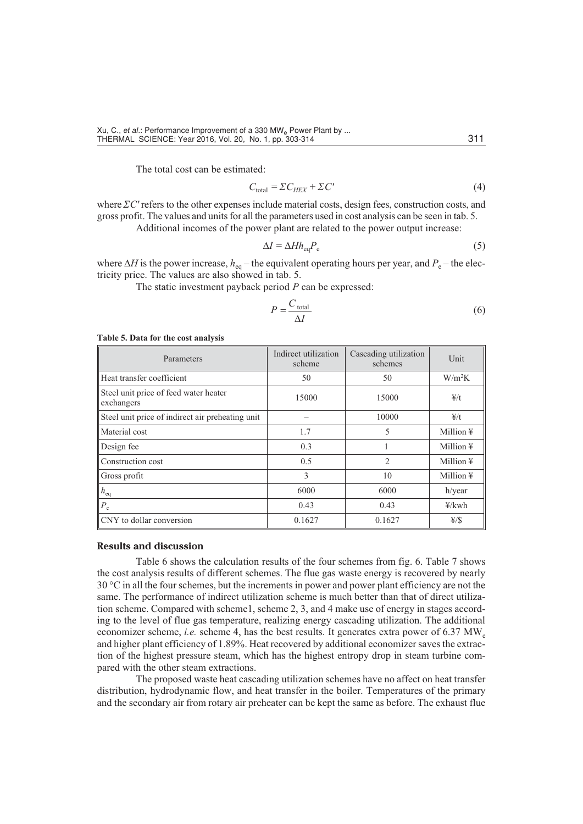The total cost can be estimated:

$$
C_{\text{total}} = \Sigma C_{HEX} + \Sigma C' \tag{4}
$$

where  $\Sigma C'$  refers to the other expenses include material costs, design fees, construction costs, and gross profit. The values and units for all the parameters used in cost analysis can be seen in tab. 5. Additional incomes of the power plant are related to the power output increase:

$$
\Delta I = \Delta H h_{\text{eq}} P_{\text{e}} \tag{5}
$$

where  $\Delta H$  is the power increase,  $h_{eq}$  – the equivalent operating hours per year, and  $P_e$  – the electricity price. The values are also showed in tab. 5.

The static investment payback period *P* can be expressed:

$$
P = \frac{C_{\text{total}}}{\Delta I} \tag{6}
$$

## **Table 5. Data for the cost analysis**

| Parameters                                          | Indirect utilization<br>scheme | Cascading utilization<br>schemes | Unit                  |  |
|-----------------------------------------------------|--------------------------------|----------------------------------|-----------------------|--|
| Heat transfer coefficient                           | 50                             | 50                               | $W/m^2K$              |  |
| Steel unit price of feed water heater<br>exchangers | 15000                          | 15000                            | 4/t                   |  |
| Steel unit price of indirect air preheating unit    |                                | 10000                            | $\frac{4}{1}$         |  |
| Material cost                                       | 1.7                            | 5                                | Million $\frac{1}{2}$ |  |
| Design fee                                          | 0.3                            |                                  | Million $\frac{1}{2}$ |  |
| Construction cost                                   | 0.5                            | $\mathfrak{D}_{\mathfrak{p}}$    | Million $\frac{1}{2}$ |  |
| Gross profit                                        | 3                              | 10                               | Million $\frac{1}{2}$ |  |
| $h_{\text{eq}}$                                     | 6000                           | 6000                             | h/year                |  |
| $P_{\rm e}$                                         | 0.43                           | 0.43                             | $\frac{1}{2}$ kwh     |  |
| CNY to dollar conversion                            | 0.1627                         | 0.1627                           | $\frac{1}{2}$         |  |

## **Results and discussion**

Table 6 shows the calculation results of the four schemes from fig. 6. Table 7 shows the cost analysis results of different schemes. The flue gas waste energy is recovered by nearly  $30^{\circ}$ C in all the four schemes, but the increments in power and power plant efficiency are not the same. The performance of indirect utilization scheme is much better than that of direct utilization scheme. Compared with scheme1, scheme 2, 3, and 4 make use of energy in stages according to the level of flue gas temperature, realizing energy cascading utilization. The additional economizer scheme, *i.e.* scheme 4, has the best results. It generates extra power of 6.37 MW<sub>e</sub> and higher plant efficiency of 1.89%. Heat recovered by additional economizer saves the extraction of the highest pressure steam, which has the highest entropy drop in steam turbine compared with the other steam extractions.

The proposed waste heat cascading utilization schemes have no affect on heat transfer distribution, hydrodynamic flow, and heat transfer in the boiler. Temperatures of the primary and the secondary air from rotary air preheater can be kept the same as before. The exhaust flue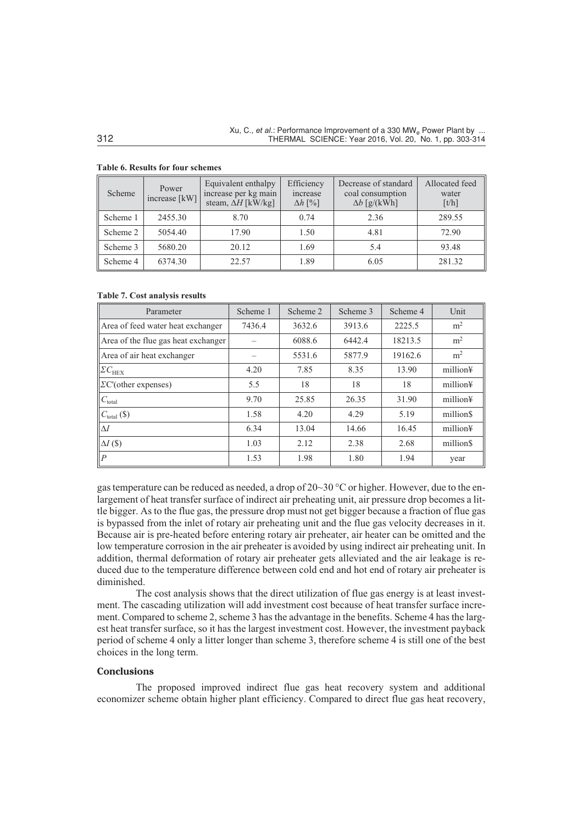| Scheme   | Power<br>increase [kW] | Equivalent enthalpy<br>increase per kg main<br>steam, $\Delta H$ [kW/kg] | Efficiency<br>increase<br>$\Delta h$ [%] | Decrease of standard<br>coal consumption<br>$\Delta b$ [g/(kWh] | Allocated feed<br>water<br>[t/h] |
|----------|------------------------|--------------------------------------------------------------------------|------------------------------------------|-----------------------------------------------------------------|----------------------------------|
| Scheme 1 | 2455.30                | 8.70                                                                     | 0.74                                     | 2.36                                                            | 289.55                           |
| Scheme 2 | 5054.40                | 17.90                                                                    | 1.50                                     | 4.81                                                            | 72.90                            |
| Scheme 3 | 5680.20                | 20.12                                                                    | 1.69                                     | 5.4                                                             | 93.48                            |
| Scheme 4 | 6374.30                | 22.57                                                                    | 1.89                                     | 6.05                                                            | 281.32                           |

# **Table 6. Results for four schemes**

#### **Table 7. Cost analysis results**

| Parameter                           | Scheme 1 | Scheme 2 | Scheme 3 | Scheme 4 | Unit                 |
|-------------------------------------|----------|----------|----------|----------|----------------------|
| Area of feed water heat exchanger   | 7436.4   | 3632.6   | 3913.6   | 2225.5   | m <sup>2</sup>       |
| Area of the flue gas heat exchanger |          | 6088.6   | 6442.4   | 18213.5  | m <sup>2</sup>       |
| Area of air heat exchanger          |          | 5531.6   | 5877.9   | 19162.6  | m <sup>2</sup>       |
| $ \mathcal{Z} C_{\mathrm{HEX}} $    | 4.20     | 7.85     | 8.35     | 13.90    | million¥             |
| $\Sigma$ C'(other expenses)         | 5.5      | 18       | 18       | 18       | million¥             |
| $C_{\text{total}}$                  | 9.70     | 25.85    | 26.35    | 31.90    | million¥             |
| $C_{\text{total}}(\$)$              | 1.58     | 4.20     | 4.29     | 5.19     | million <sub>S</sub> |
| $\Delta I$                          | 6.34     | 13.04    | 14.66    | 16.45    | million¥             |
| $\Delta I$ (\$)                     | 1.03     | 2.12     | 2.38     | 2.68     | million <sub>S</sub> |
| $\overline{P}$                      | 1.53     | 1.98     | 1.80     | 1.94     | year                 |

gas temperature can be reduced as needed, a drop of 20~30 °C or higher. However, due to the enlargement of heat transfer surface of indirect air preheating unit, air pressure drop becomes a little bigger. As to the flue gas, the pressure drop must not get bigger because a fraction of flue gas is bypassed from the inlet of rotary air preheating unit and the flue gas velocity decreases in it. Because air is pre-heated before entering rotary air preheater, air heater can be omitted and the low temperature corrosion in the air preheater is avoided by using indirect air preheating unit. In addition, thermal deformation of rotary air preheater gets alleviated and the air leakage is reduced due to the temperature difference between cold end and hot end of rotary air preheater is diminished.

The cost analysis shows that the direct utilization of flue gas energy is at least investment. The cascading utilization will add investment cost because of heat transfer surface increment. Compared to scheme 2, scheme 3 has the advantage in the benefits. Scheme 4 has the largest heat transfer surface, so it has the largest investment cost. However, the investment payback period of scheme 4 only a litter longer than scheme 3, therefore scheme 4 is still one of the best choices in the long term.

# **Conclusions**

The proposed improved indirect flue gas heat recovery system and additional economizer scheme obtain higher plant efficiency. Compared to direct flue gas heat recovery,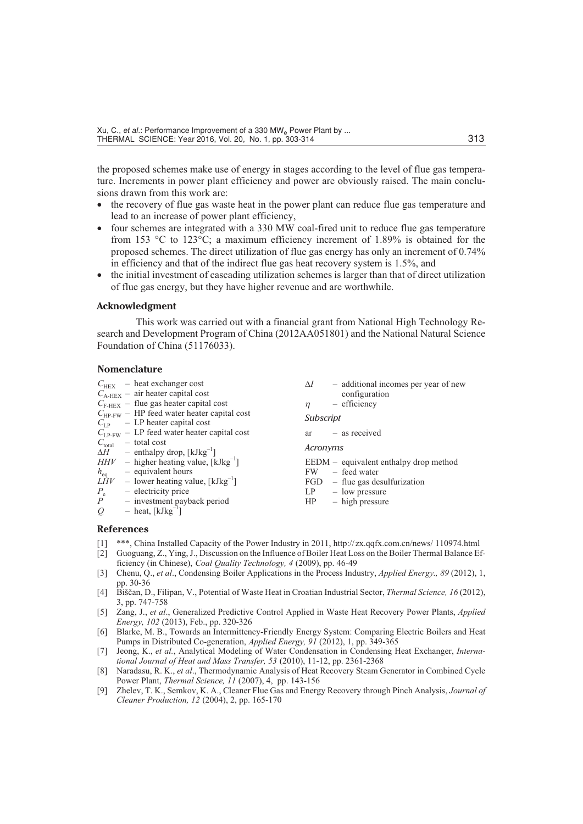the proposed schemes make use of energy in stages according to the level of flue gas temperature. Increments in power plant efficiency and power are obviously raised. The main conclusions drawn from this work are:

- the recovery of flue gas waste heat in the power plant can reduce flue gas temperature and lead to an increase of power plant efficiency,
- four schemes are integrated with a 330 MW coal-fired unit to reduce flue gas temperature from 153 °C to 123°C; a maximum efficiency increment of 1.89% is obtained for the proposed schemes. The direct utilization of flue gas energy has only an increment of 0.74% in efficiency and that of the indirect flue gas heat recovery system is 1.5%, and
- $\bullet$  the initial investment of cascading utilization schemes is larger than that of direct utilization of flue gas energy, but they have higher revenue and are worthwhile.

# **Acknowledgment**

This work was carried out with a financial grant from National High Technology Research and Development Program of China (2012AA051801) and the National Natural Science Foundation of China (51176033).

# **Nomenclature**

|                 | $C_{\text{HEX}}$ – heat exchanger cost<br>$C_{A-HEX}$ – air heater capital cost      | - additional incomes per year of new<br>$\Delta I$<br>configuration         |
|-----------------|--------------------------------------------------------------------------------------|-----------------------------------------------------------------------------|
|                 | $C_{\text{F-HEX}}$ – flue gas heater capital cost                                    | - efficiency<br>$\eta$                                                      |
|                 | $C_{HP-FW}$ – HP feed water heater capital cost<br>$C_{LP}$ – LP heater capital cost | Subscript                                                                   |
|                 | $C_{LP-FW}$ – LP feed water heater capital cost                                      | $ar - as received$                                                          |
|                 | $C_{\text{total}}$ – total cost<br>$\Delta H$ – enthalpy drop, [kJkg <sup>-1</sup> ] | Acronyms                                                                    |
| $h_{\text{eq}}$ | $HHV$ – higher heating value, [kJkg <sup>-1</sup> ]<br>$-$ equivalent hours          | $EEDM - equivalent$ equivalent enthalpy drop method<br>- feed water<br>FW F |
|                 | $L\dot{H}V$ – lower heating value, [kJkg <sup>-1</sup> ]                             | $FGD$ – flue gas desulfurization                                            |
| $P_e$           | - electricity price                                                                  | $LP$ – low pressure                                                         |
| P               | - investment payback period                                                          | $HP$ – high pressure                                                        |
| $Q_{\cdot}$     | $-$ heat, [kJkg <sup>-1</sup> ]                                                      |                                                                             |
| $D$ ofovongoo   |                                                                                      |                                                                             |

## **References**

- [1] \*\*\*, China Installed Capacity of the Power Industry in 2011, http://zx.qqfx.com.cn/news/ 110974.html
- [2] Guoguang, Z., Ying, J., Discussion on the Influence of Boiler Heat Loss on the Boiler Thermal Balance Efficiency (in Chinese), *Coal Quality Technology, 4* (2009), pp. 46-49
- [3] Chenu, Q., *et al*., Condensing Boiler Applications in the Process Industry, *Applied Energy., 89* (2012), 1, pp. 30-36
- [4] Biščan, D., Filipan, V., Potential of Waste Heat in Croatian Industrial Sector, *Thermal Science, 16* (2012), 3, pp. 747-758
- [5] Zang, J., *et al*., Generalized Predictive Control Applied in Waste Heat Recovery Power Plants, *Applied Energy, 102* (2013), Feb., pp. 320-326
- [6] Blarke, M. B., Towards an Intermittency-Friendly Energy System: Comparing Electric Boilers and Heat Pumps in Distributed Co-generation, *Applied Energy, 91* (2012), 1, pp. 349-365
- [7] Jeong, K., *et al.*, Analytical Modeling of Water Condensation in Condensing Heat Exchanger, *International Journal of Heat and Mass Transfer, 53* (2010), 11-12, pp. 2361-2368
- [8] Naradasu, R. K., *et al*., Thermodynamic Analysis of Heat Recovery Steam Generator in Combined Cycle Power Plant, *Thermal Science, 11* (2007), 4, pp. 143-156
- [9] Zhelev, T. K., Semkov, K. A., Cleaner Flue Gas and Energy Recovery through Pinch Analysis, *Journal of Cleaner Production, 12* (2004), 2, pp. 165-170